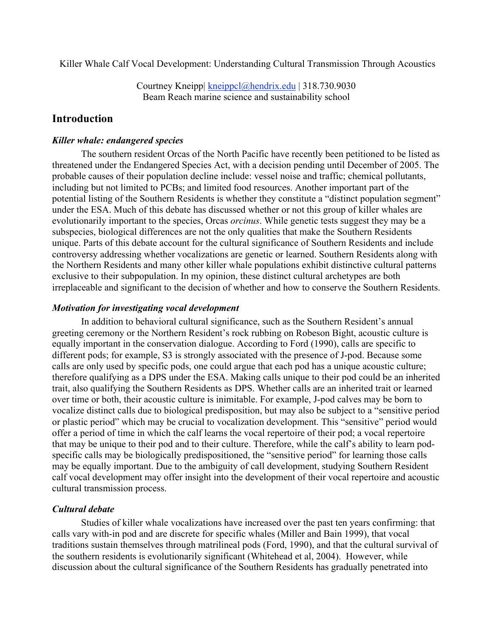Killer Whale Calf Vocal Development: Understanding Cultural Transmission Through Acoustics

Courtney Kneipp| kneippcl@hendrix.edu | 318.730.9030 Beam Reach marine science and sustainability school

## Introduction

#### *Killer whale: endangered species*

The southern resident Orcas of the North Pacific have recently been petitioned to be listed as threatened under the Endangered Species Act, with a decision pending until December of 2005. The probable causes of their population decline include: vessel noise and traffic; chemical pollutants, including but not limited to PCBs; and limited food resources. Another important part of the potential listing of the Southern Residents is whether they constitute a "distinct population segment" under the ESA. Much of this debate has discussed whether or not this group of killer whales are evolutionarily important to the species, Orcas *orcinus*. While genetic tests suggest they may be a subspecies, biological differences are not the only qualities that make the Southern Residents unique. Parts of this debate account for the cultural significance of Southern Residents and include controversy addressing whether vocalizations are genetic or learned. Southern Residents along with the Northern Residents and many other killer whale populations exhibit distinctive cultural patterns exclusive to their subpopulation. In my opinion, these distinct cultural archetypes are both irreplaceable and significant to the decision of whether and how to conserve the Southern Residents.

## *Motivation for investigating vocal development*

In addition to behavioral cultural significance, such as the Southern Resident's annual greeting ceremony or the Northern Resident's rock rubbing on Robeson Bight, acoustic culture is equally important in the conservation dialogue. According to Ford (1990), calls are specific to different pods; for example, S3 is strongly associated with the presence of J-pod. Because some calls are only used by specific pods, one could argue that each pod has a unique acoustic culture; therefore qualifying as a DPS under the ESA. Making calls unique to their pod could be an inherited trait, also qualifying the Southern Residents as DPS. Whether calls are an inherited trait or learned over time or both, their acoustic culture is inimitable. For example, J-pod calves may be born to vocalize distinct calls due to biological predisposition, but may also be subject to a "sensitive period or plastic period" which may be crucial to vocalization development. This "sensitive" period would offer a period of time in which the calf learns the vocal repertoire of their pod; a vocal repertoire that may be unique to their pod and to their culture. Therefore, while the calf's ability to learn podspecific calls may be biologically predispositioned, the "sensitive period" for learning those calls may be equally important. Due to the ambiguity of call development, studying Southern Resident calf vocal development may offer insight into the development of their vocal repertoire and acoustic cultural transmission process.

## *Cultural debate*

Studies of killer whale vocalizations have increased over the past ten years confirming: that calls vary with-in pod and are discrete for specific whales (Miller and Bain 1999), that vocal traditions sustain themselves through matrilineal pods (Ford, 1990), and that the cultural survival of the southern residents is evolutionarily significant (Whitehead et al, 2004). However, while discussion about the cultural significance of the Southern Residents has gradually penetrated into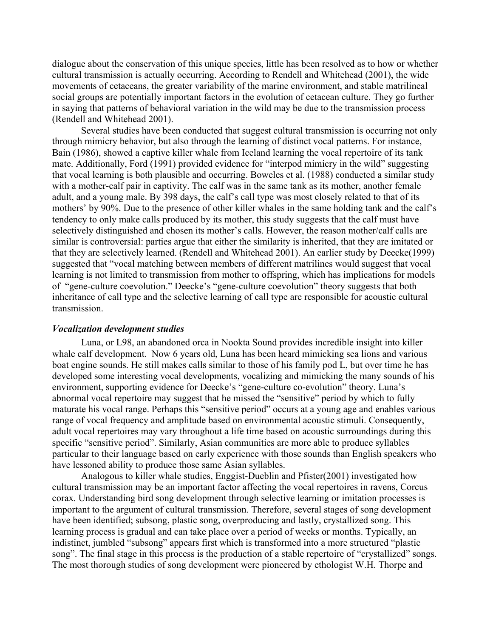dialogue about the conservation of this unique species, little has been resolved as to how or whether cultural transmission is actually occurring. According to Rendell and Whitehead (2001), the wide movements of cetaceans, the greater variability of the marine environment, and stable matrilineal social groups are potentially important factors in the evolution of cetacean culture. They go further in saying that patterns of behavioral variation in the wild may be due to the transmission process (Rendell and Whitehead 2001).

Several studies have been conducted that suggest cultural transmission is occurring not only through mimicry behavior, but also through the learning of distinct vocal patterns. For instance, Bain (1986), showed a captive killer whale from Iceland learning the vocal repertoire of its tank mate. Additionally, Ford (1991) provided evidence for "interpod mimicry in the wild" suggesting that vocal learning is both plausible and occurring. Boweles et al. (1988) conducted a similar study with a mother-calf pair in captivity. The calf was in the same tank as its mother, another female adult, and a young male. By 398 days, the calf's call type was most closely related to that of its mothers' by 90%. Due to the presence of other killer whales in the same holding tank and the calf's tendency to only make calls produced by its mother, this study suggests that the calf must have selectively distinguished and chosen its mother's calls. However, the reason mother/calf calls are similar is controversial: parties argue that either the similarity is inherited, that they are imitated or that they are selectively learned. (Rendell and Whitehead 2001). An earlier study by Deecke(1999) suggested that "vocal matching between members of different matrilines would suggest that vocal learning is not limited to transmission from mother to offspring, which has implications for models of "gene-culture coevolution." Deecke's "gene-culture coevolution" theory suggests that both inheritance of call type and the selective learning of call type are responsible for acoustic cultural transmission.

### *Vocalization development studies*

Luna, or L98, an abandoned orca in Nookta Sound provides incredible insight into killer whale calf development. Now 6 years old, Luna has been heard mimicking sea lions and various boat engine sounds. He still makes calls similar to those of his family pod L, but over time he has developed some interesting vocal developments, vocalizing and mimicking the many sounds of his environment, supporting evidence for Deecke's "gene-culture co-evolution" theory. Luna's abnormal vocal repertoire may suggest that he missed the "sensitive" period by which to fully maturate his vocal range. Perhaps this "sensitive period" occurs at a young age and enables various range of vocal frequency and amplitude based on environmental acoustic stimuli. Consequently, adult vocal repertoires may vary throughout a life time based on acoustic surroundings during this specific "sensitive period". Similarly, Asian communities are more able to produce syllables particular to their language based on early experience with those sounds than English speakers who have lessoned ability to produce those same Asian syllables.

Analogous to killer whale studies, Enggist-Dueblin and Pfister(2001) investigated how cultural transmission may be an important factor affecting the vocal repertoires in ravens, Corcus corax. Understanding bird song development through selective learning or imitation processes is important to the argument of cultural transmission. Therefore, several stages of song development have been identified; subsong, plastic song, overproducing and lastly, crystallized song. This learning process is gradual and can take place over a period of weeks or months. Typically, an indistinct, jumbled "subsong" appears first which is transformed into a more structured "plastic song". The final stage in this process is the production of a stable repertoire of "crystallized" songs. The most thorough studies of song development were pioneered by ethologist W.H. Thorpe and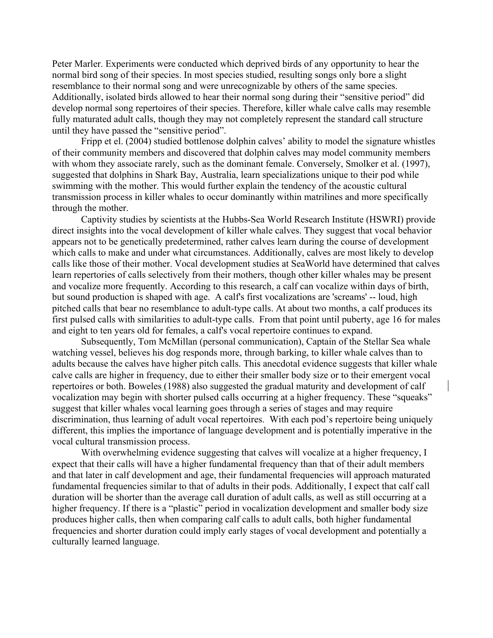Peter Marler. Experiments were conducted which deprived birds of any opportunity to hear the normal bird song of their species. In most species studied, resulting songs only bore a slight resemblance to their normal song and were unrecognizable by others of the same species. Additionally, isolated birds allowed to hear their normal song during their "sensitive period" did develop normal song repertoires of their species. Therefore, killer whale calve calls may resemble fully maturated adult calls, though they may not completely represent the standard call structure until they have passed the "sensitive period".

Fripp et el. (2004) studied bottlenose dolphin calves' ability to model the signature whistles of their community members and discovered that dolphin calves may model community members with whom they associate rarely, such as the dominant female. Conversely, Smolker et al. (1997), suggested that dolphins in Shark Bay, Australia, learn specializations unique to their pod while swimming with the mother. This would further explain the tendency of the acoustic cultural transmission process in killer whales to occur dominantly within matrilines and more specifically through the mother.

Captivity studies by scientists at the Hubbs-Sea World Research Institute (HSWRI) provide direct insights into the vocal development of killer whale calves. They suggest that vocal behavior appears not to be genetically predetermined, rather calves learn during the course of development which calls to make and under what circumstances. Additionally, calves are most likely to develop calls like those of their mother. Vocal development studies at SeaWorld have determined that calves learn repertories of calls selectively from their mothers, though other killer whales may be present and vocalize more frequently. According to this research, a calf can vocalize within days of birth, but sound production is shaped with age. A calf's first vocalizations are 'screams' -- loud, high pitched calls that bear no resemblance to adult-type calls. At about two months, a calf produces its first pulsed calls with similarities to adult-type calls. From that point until puberty, age 16 for males and eight to ten years old for females, a calf's vocal repertoire continues to expand.

Subsequently, Tom McMillan (personal communication), Captain of the Stellar Sea whale watching vessel, believes his dog responds more, through barking, to killer whale calves than to adults because the calves have higher pitch calls. This anecdotal evidence suggests that killer whale calve calls are higher in frequency, due to either their smaller body size or to their emergent vocal repertoires or both. Boweles (1988) also suggested the gradual maturity and development of calf vocalization may begin with shorter pulsed calls occurring at a higher frequency. These "squeaks" suggest that killer whales vocal learning goes through a series of stages and may require discrimination, thus learning of adult vocal repertoires. With each pod's repertoire being uniquely different, this implies the importance of language development and is potentially imperative in the vocal cultural transmission process.

With overwhelming evidence suggesting that calves will vocalize at a higher frequency, I expect that their calls will have a higher fundamental frequency than that of their adult members and that later in calf development and age, their fundamental frequencies will approach maturated fundamental frequencies similar to that of adults in their pods. Additionally, I expect that calf call duration will be shorter than the average call duration of adult calls, as well as still occurring at a higher frequency. If there is a "plastic" period in vocalization development and smaller body size produces higher calls, then when comparing calf calls to adult calls, both higher fundamental frequencies and shorter duration could imply early stages of vocal development and potentially a culturally learned language.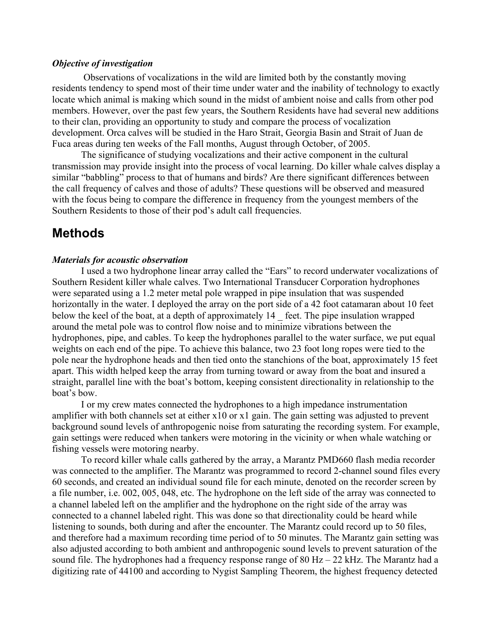### *Objective of investigation*

 Observations of vocalizations in the wild are limited both by the constantly moving residents tendency to spend most of their time under water and the inability of technology to exactly locate which animal is making which sound in the midst of ambient noise and calls from other pod members. However, over the past few years, the Southern Residents have had several new additions to their clan, providing an opportunity to study and compare the process of vocalization development. Orca calves will be studied in the Haro Strait, Georgia Basin and Strait of Juan de Fuca areas during ten weeks of the Fall months, August through October, of 2005.

The significance of studying vocalizations and their active component in the cultural transmission may provide insight into the process of vocal learning. Do killer whale calves display a similar "babbling" process to that of humans and birds? Are there significant differences between the call frequency of calves and those of adults? These questions will be observed and measured with the focus being to compare the difference in frequency from the youngest members of the Southern Residents to those of their pod's adult call frequencies.

# **Methods**

### *Materials for acoustic observation*

I used a two hydrophone linear array called the "Ears" to record underwater vocalizations of Southern Resident killer whale calves. Two International Transducer Corporation hydrophones were separated using a 1.2 meter metal pole wrapped in pipe insulation that was suspended horizontally in the water. I deployed the array on the port side of a 42 foot catamaran about 10 feet below the keel of the boat, at a depth of approximately 14 feet. The pipe insulation wrapped around the metal pole was to control flow noise and to minimize vibrations between the hydrophones, pipe, and cables. To keep the hydrophones parallel to the water surface, we put equal weights on each end of the pipe. To achieve this balance, two 23 foot long ropes were tied to the pole near the hydrophone heads and then tied onto the stanchions of the boat, approximately 15 feet apart. This width helped keep the array from turning toward or away from the boat and insured a straight, parallel line with the boat's bottom, keeping consistent directionality in relationship to the boat's bow.

I or my crew mates connected the hydrophones to a high impedance instrumentation amplifier with both channels set at either x10 or x1 gain. The gain setting was adjusted to prevent background sound levels of anthropogenic noise from saturating the recording system. For example, gain settings were reduced when tankers were motoring in the vicinity or when whale watching or fishing vessels were motoring nearby.

To record killer whale calls gathered by the array, a Marantz PMD660 flash media recorder was connected to the amplifier. The Marantz was programmed to record 2-channel sound files every 60 seconds, and created an individual sound file for each minute, denoted on the recorder screen by a file number, i.e. 002, 005, 048, etc. The hydrophone on the left side of the array was connected to a channel labeled left on the amplifier and the hydrophone on the right side of the array was connected to a channel labeled right. This was done so that directionality could be heard while listening to sounds, both during and after the encounter. The Marantz could record up to 50 files, and therefore had a maximum recording time period of to 50 minutes. The Marantz gain setting was also adjusted according to both ambient and anthropogenic sound levels to prevent saturation of the sound file. The hydrophones had a frequency response range of  $80$  Hz  $-$  22 kHz. The Marantz had a digitizing rate of 44100 and according to Nygist Sampling Theorem, the highest frequency detected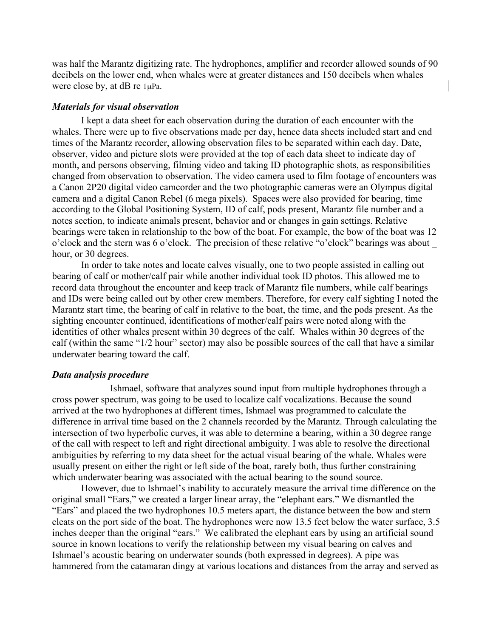was half the Marantz digitizing rate. The hydrophones, amplifier and recorder allowed sounds of 90 decibels on the lower end, when whales were at greater distances and 150 decibels when whales were close by, at dB re 1µPa.

### *Materials for visual observation*

I kept a data sheet for each observation during the duration of each encounter with the whales. There were up to five observations made per day, hence data sheets included start and end times of the Marantz recorder, allowing observation files to be separated within each day. Date, observer, video and picture slots were provided at the top of each data sheet to indicate day of month, and persons observing, filming video and taking ID photographic shots, as responsibilities changed from observation to observation. The video camera used to film footage of encounters was a Canon 2P20 digital video camcorder and the two photographic cameras were an Olympus digital camera and a digital Canon Rebel (6 mega pixels). Spaces were also provided for bearing, time according to the Global Positioning System, ID of calf, pods present, Marantz file number and a notes section, to indicate animals present, behavior and or changes in gain settings. Relative bearings were taken in relationship to the bow of the boat. For example, the bow of the boat was 12 o'clock and the stern was 6 o'clock. The precision of these relative "o'clock" bearings was about \_ hour, or 30 degrees.

In order to take notes and locate calves visually, one to two people assisted in calling out bearing of calf or mother/calf pair while another individual took ID photos. This allowed me to record data throughout the encounter and keep track of Marantz file numbers, while calf bearings and IDs were being called out by other crew members. Therefore, for every calf sighting I noted the Marantz start time, the bearing of calf in relative to the boat, the time, and the pods present. As the sighting encounter continued, identifications of mother/calf pairs were noted along with the identities of other whales present within 30 degrees of the calf. Whales within 30 degrees of the calf (within the same "1/2 hour" sector) may also be possible sources of the call that have a similar underwater bearing toward the calf.

### *Data analysis procedure*

Ishmael, software that analyzes sound input from multiple hydrophones through a cross power spectrum, was going to be used to localize calf vocalizations. Because the sound arrived at the two hydrophones at different times, Ishmael was programmed to calculate the difference in arrival time based on the 2 channels recorded by the Marantz. Through calculating the intersection of two hyperbolic curves, it was able to determine a bearing, within a 30 degree range of the call with respect to left and right directional ambiguity. I was able to resolve the directional ambiguities by referring to my data sheet for the actual visual bearing of the whale. Whales were usually present on either the right or left side of the boat, rarely both, thus further constraining which underwater bearing was associated with the actual bearing to the sound source.

However, due to Ishmael's inability to accurately measure the arrival time difference on the original small "Ears," we created a larger linear array, the "elephant ears." We dismantled the "Ears" and placed the two hydrophones 10.5 meters apart, the distance between the bow and stern cleats on the port side of the boat. The hydrophones were now 13.5 feet below the water surface, 3.5 inches deeper than the original "ears." We calibrated the elephant ears by using an artificial sound source in known locations to verify the relationship between my visual bearing on calves and Ishmael's acoustic bearing on underwater sounds (both expressed in degrees). A pipe was hammered from the catamaran dingy at various locations and distances from the array and served as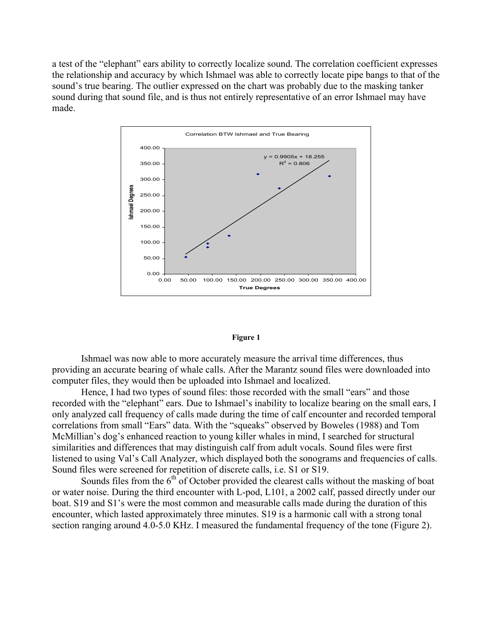a test of the "elephant" ears ability to correctly localize sound. The correlation coefficient expresses the relationship and accuracy by which Ishmael was able to correctly locate pipe bangs to that of the sound's true bearing. The outlier expressed on the chart was probably due to the masking tanker sound during that sound file, and is thus not entirely representative of an error Ishmael may have made.



#### Figure 1

Ishmael was now able to more accurately measure the arrival time differences, thus providing an accurate bearing of whale calls. After the Marantz sound files were downloaded into computer files, they would then be uploaded into Ishmael and localized.

Hence, I had two types of sound files: those recorded with the small "ears" and those recorded with the "elephant" ears. Due to Ishmael's inability to localize bearing on the small ears, I only analyzed call frequency of calls made during the time of calf encounter and recorded temporal correlations from small "Ears" data. With the "squeaks" observed by Boweles (1988) and Tom McMillian's dog's enhanced reaction to young killer whales in mind, I searched for structural similarities and differences that may distinguish calf from adult vocals. Sound files were first listened to using Val's Call Analyzer, which displayed both the sonograms and frequencies of calls. Sound files were screened for repetition of discrete calls, i.e. S1 or S19.

Sounds files from the  $6<sup>th</sup>$  of October provided the clearest calls without the masking of boat or water noise. During the third encounter with L-pod, L101, a 2002 calf, passed directly under our boat. S19 and S1's were the most common and measurable calls made during the duration of this encounter, which lasted approximately three minutes. S19 is a harmonic call with a strong tonal section ranging around 4.0-5.0 KHz. I measured the fundamental frequency of the tone (Figure 2).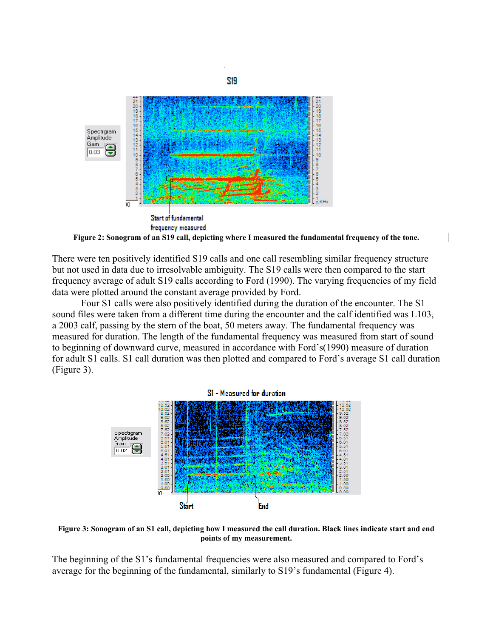

Figure 2: Sonogram of an S19 call, depicting where I measured the fundamental frequency of the tone.

There were ten positively identified S19 calls and one call resembling similar frequency structure but not used in data due to irresolvable ambiguity. The S19 calls were then compared to the start frequency average of adult S19 calls according to Ford (1990). The varying frequencies of my field data were plotted around the constant average provided by Ford.

Four S1 calls were also positively identified during the duration of the encounter. The S1 sound files were taken from a different time during the encounter and the calf identified was L103, a 2003 calf, passing by the stern of the boat, 50 meters away. The fundamental frequency was measured for duration. The length of the fundamental frequency was measured from start of sound to beginning of downward curve, measured in accordance with Ford's(1990) measure of duration for adult S1 calls. S1 call duration was then plotted and compared to Ford's average S1 call duration (Figure 3).



Figure 3: Sonogram of an S1 call, depicting how I measured the call duration. Black lines indicate start and end points of my measurement.

The beginning of the S1's fundamental frequencies were also measured and compared to Ford's average for the beginning of the fundamental, similarly to S19's fundamental (Figure 4).

**S19**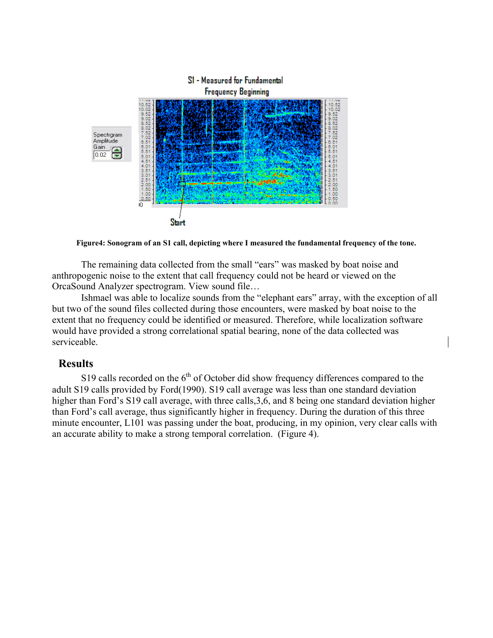

Figure4: Sonogram of an S1 call, depicting where I measured the fundamental frequency of the tone.

The remaining data collected from the small "ears" was masked by boat noise and anthropogenic noise to the extent that call frequency could not be heard or viewed on the OrcaSound Analyzer spectrogram. View sound file…

Ishmael was able to localize sounds from the "elephant ears" array, with the exception of all but two of the sound files collected during those encounters, were masked by boat noise to the extent that no frequency could be identified or measured. Therefore, while localization software would have provided a strong correlational spatial bearing, none of the data collected was serviceable.

## **Results**

S19 calls recorded on the  $6<sup>th</sup>$  of October did show frequency differences compared to the adult S19 calls provided by Ford(1990). S19 call average was less than one standard deviation higher than Ford's S19 call average, with three calls, 3, 6, and 8 being one standard deviation higher than Ford's call average, thus significantly higher in frequency. During the duration of this three minute encounter, L101 was passing under the boat, producing, in my opinion, very clear calls with an accurate ability to make a strong temporal correlation. (Figure 4).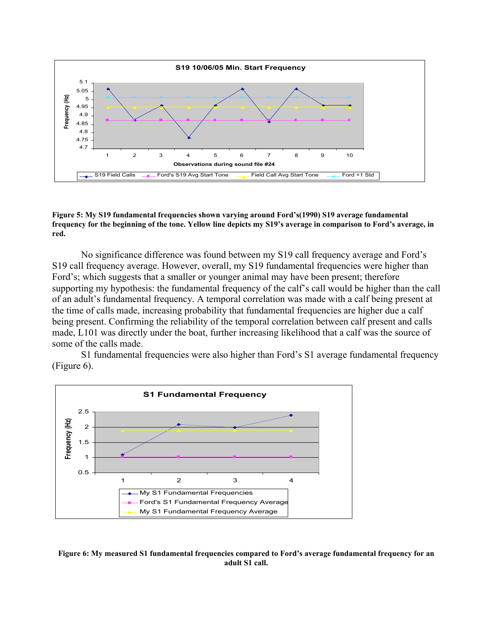

Figure 5: My S19 fundamental frequencies shown varying around Ford's(1990) S19 average fundamental frequency for the beginning of the tone. Yellow line depicts my S19's average in comparison to Ford's average, in red.

No significance difference was found between my S19 call frequency average and Ford's S19 call frequency average. However, overall, my S19 fundamental frequencies were higher than Ford's; which suggests that a smaller or younger animal may have been present; therefore supporting my hypothesis: the fundamental frequency of the calf's call would be higher than the call of an adult's fundamental frequency. A temporal correlation was made with a calf being present at the time of calls made, increasing probability that fundamental frequencies are higher due a calf being present. Confirming the reliability of the temporal correlation between calf present and calls made, L101 was directly under the boat, further increasing likelihood that a calf was the source of some of the calls made.



S1 fundamental frequencies were also higher than Ford's S1 average fundamental frequency (Figure 6).

Figure 6: My measured S1 fundamental frequencies compared to Ford's average fundamental frequency for an adult S1 call.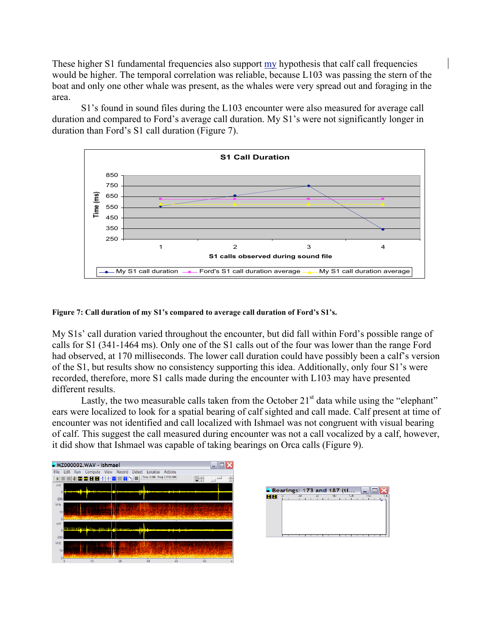These higher S1 fundamental frequencies also support my hypothesis that calf call frequencies would be higher. The temporal correlation was reliable, because L103 was passing the stern of the boat and only one other whale was present, as the whales were very spread out and foraging in the area.

S1's found in sound files during the L103 encounter were also measured for average call duration and compared to Ford's average call duration. My S1's were not significantly longer in duration than Ford's S1 call duration (Figure 7).



#### Figure 7: Call duration of my S1's compared to average call duration of Ford's S1's.

My S1s' call duration varied throughout the encounter, but did fall within Ford's possible range of calls for S1 (341-1464 ms). Only one of the S1 calls out of the four was lower than the range Ford had observed, at 170 milliseconds. The lower call duration could have possibly been a calf's version of the S1, but results show no consistency supporting this idea. Additionally, only four S1's were recorded, therefore, more S1 calls made during the encounter with L103 may have presented different results.

Lastly, the two measurable calls taken from the October  $21<sup>st</sup>$  data while using the "elephant" ears were localized to look for a spatial bearing of calf sighted and call made. Calf present at time of encounter was not identified and call localized with Ishmael was not congruent with visual bearing of calf. This suggest the call measured during encounter was not a call vocalized by a calf, however, it did show that Ishmael was capable of taking bearings on Orca calls (Figure 9).



|   |    |           |     | $\blacksquare$ Bearings: 173 and 187 (ti |      |  |
|---|----|-----------|-----|------------------------------------------|------|--|
| п | ÷п | <b>JU</b> | 911 | 120                                      | 1511 |  |
|   |    |           |     |                                          |      |  |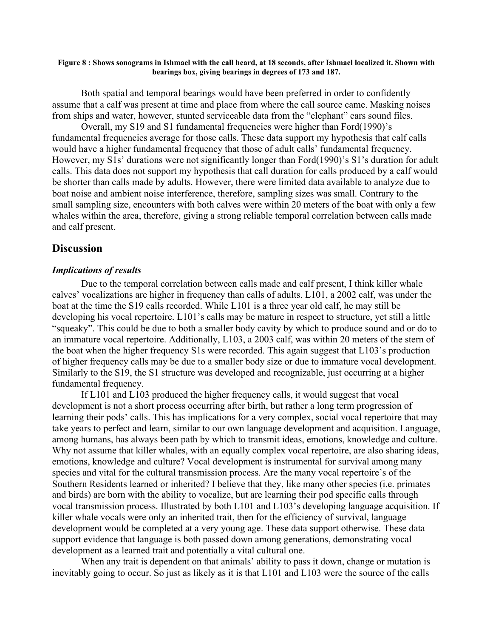#### Figure 8 : Shows sonograms in Ishmael with the call heard, at 18 seconds, after Ishmael localized it. Shown with bearings box, giving bearings in degrees of 173 and 187.

Both spatial and temporal bearings would have been preferred in order to confidently assume that a calf was present at time and place from where the call source came. Masking noises from ships and water, however, stunted serviceable data from the "elephant" ears sound files.

Overall, my S19 and S1 fundamental frequencies were higher than Ford(1990)'s fundamental frequencies average for those calls. These data support my hypothesis that calf calls would have a higher fundamental frequency that those of adult calls' fundamental frequency. However, my S1s' durations were not significantly longer than Ford(1990)'s S1's duration for adult calls. This data does not support my hypothesis that call duration for calls produced by a calf would be shorter than calls made by adults. However, there were limited data available to analyze due to boat noise and ambient noise interference, therefore, sampling sizes was small. Contrary to the small sampling size, encounters with both calves were within 20 meters of the boat with only a few whales within the area, therefore, giving a strong reliable temporal correlation between calls made and calf present.

## **Discussion**

## *Implications of results*

Due to the temporal correlation between calls made and calf present, I think killer whale calves' vocalizations are higher in frequency than calls of adults. L101, a 2002 calf, was under the boat at the time the S19 calls recorded. While L101 is a three year old calf, he may still be developing his vocal repertoire. L101's calls may be mature in respect to structure, yet still a little "squeaky". This could be due to both a smaller body cavity by which to produce sound and or do to an immature vocal repertoire. Additionally, L103, a 2003 calf, was within 20 meters of the stern of the boat when the higher frequency S1s were recorded. This again suggest that L103's production of higher frequency calls may be due to a smaller body size or due to immature vocal development. Similarly to the S19, the S1 structure was developed and recognizable, just occurring at a higher fundamental frequency.

If L101 and L103 produced the higher frequency calls, it would suggest that vocal development is not a short process occurring after birth, but rather a long term progression of learning their pods' calls. This has implications for a very complex, social vocal repertoire that may take years to perfect and learn, similar to our own language development and acquisition. Language, among humans, has always been path by which to transmit ideas, emotions, knowledge and culture. Why not assume that killer whales, with an equally complex vocal repertoire, are also sharing ideas, emotions, knowledge and culture? Vocal development is instrumental for survival among many species and vital for the cultural transmission process. Are the many vocal repertoire's of the Southern Residents learned or inherited? I believe that they, like many other species (i.e. primates and birds) are born with the ability to vocalize, but are learning their pod specific calls through vocal transmission process. Illustrated by both L101 and L103's developing language acquisition. If killer whale vocals were only an inherited trait, then for the efficiency of survival, language development would be completed at a very young age. These data support otherwise. These data support evidence that language is both passed down among generations, demonstrating vocal development as a learned trait and potentially a vital cultural one.

When any trait is dependent on that animals' ability to pass it down, change or mutation is inevitably going to occur. So just as likely as it is that L101 and L103 were the source of the calls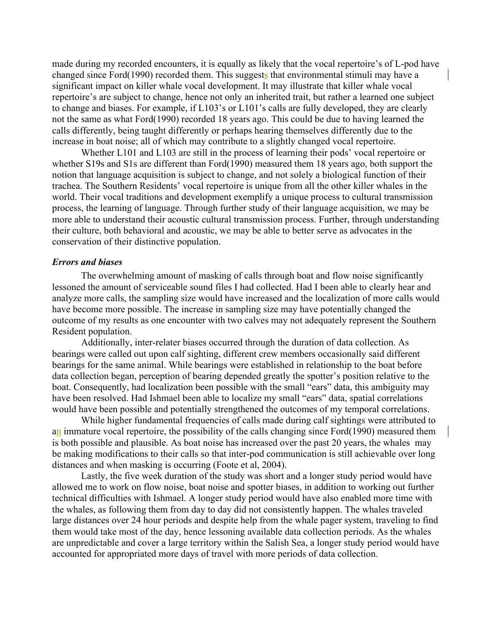made during my recorded encounters, it is equally as likely that the vocal repertoire's of L-pod have changed since Ford(1990) recorded them. This suggests that environmental stimuli may have a significant impact on killer whale vocal development. It may illustrate that killer whale vocal repertoire's are subject to change, hence not only an inherited trait, but rather a learned one subject to change and biases. For example, if L103's or L101's calls are fully developed, they are clearly not the same as what Ford(1990) recorded 18 years ago. This could be due to having learned the calls differently, being taught differently or perhaps hearing themselves differently due to the increase in boat noise; all of which may contribute to a slightly changed vocal repertoire.

Whether L101 and L103 are still in the process of learning their pods' vocal repertoire or whether S19s and S1s are different than Ford(1990) measured them 18 years ago, both support the notion that language acquisition is subject to change, and not solely a biological function of their trachea. The Southern Residents' vocal repertoire is unique from all the other killer whales in the world. Their vocal traditions and development exemplify a unique process to cultural transmission process, the learning of language. Through further study of their language acquisition, we may be more able to understand their acoustic cultural transmission process. Further, through understanding their culture, both behavioral and acoustic, we may be able to better serve as advocates in the conservation of their distinctive population.

#### *Errors and biases*

The overwhelming amount of masking of calls through boat and flow noise significantly lessoned the amount of serviceable sound files I had collected. Had I been able to clearly hear and analyze more calls, the sampling size would have increased and the localization of more calls would have become more possible. The increase in sampling size may have potentially changed the outcome of my results as one encounter with two calves may not adequately represent the Southern Resident population.

Additionally, inter-relater biases occurred through the duration of data collection. As bearings were called out upon calf sighting, different crew members occasionally said different bearings for the same animal. While bearings were established in relationship to the boat before data collection began, perception of bearing depended greatly the spotter's position relative to the boat. Consequently, had localization been possible with the small "ears" data, this ambiguity may have been resolved. Had Ishmael been able to localize my small "ears" data, spatial correlations would have been possible and potentially strengthened the outcomes of my temporal correlations.

While higher fundamental frequencies of calls made during calf sightings were attributed to an immature vocal repertoire, the possibility of the calls changing since Ford(1990) measured them is both possible and plausible. As boat noise has increased over the past 20 years, the whales may be making modifications to their calls so that inter-pod communication is still achievable over long distances and when masking is occurring (Foote et al, 2004).

Lastly, the five week duration of the study was short and a longer study period would have allowed me to work on flow noise, boat noise and spotter biases, in addition to working out further technical difficulties with Ishmael. A longer study period would have also enabled more time with the whales, as following them from day to day did not consistently happen. The whales traveled large distances over 24 hour periods and despite help from the whale pager system, traveling to find them would take most of the day, hence lessoning available data collection periods. As the whales are unpredictable and cover a large territory within the Salish Sea, a longer study period would have accounted for appropriated more days of travel with more periods of data collection.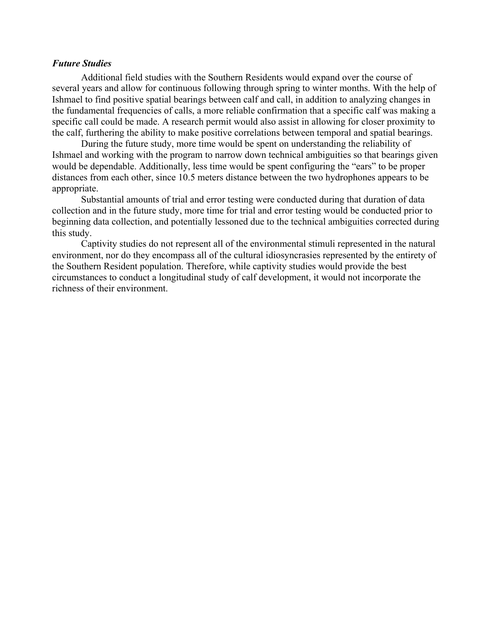## *Future Studies*

Additional field studies with the Southern Residents would expand over the course of several years and allow for continuous following through spring to winter months. With the help of Ishmael to find positive spatial bearings between calf and call, in addition to analyzing changes in the fundamental frequencies of calls, a more reliable confirmation that a specific calf was making a specific call could be made. A research permit would also assist in allowing for closer proximity to the calf, furthering the ability to make positive correlations between temporal and spatial bearings.

During the future study, more time would be spent on understanding the reliability of Ishmael and working with the program to narrow down technical ambiguities so that bearings given would be dependable. Additionally, less time would be spent configuring the "ears" to be proper distances from each other, since 10.5 meters distance between the two hydrophones appears to be appropriate.

Substantial amounts of trial and error testing were conducted during that duration of data collection and in the future study, more time for trial and error testing would be conducted prior to beginning data collection, and potentially lessoned due to the technical ambiguities corrected during this study.

Captivity studies do not represent all of the environmental stimuli represented in the natural environment, nor do they encompass all of the cultural idiosyncrasies represented by the entirety of the Southern Resident population. Therefore, while captivity studies would provide the best circumstances to conduct a longitudinal study of calf development, it would not incorporate the richness of their environment.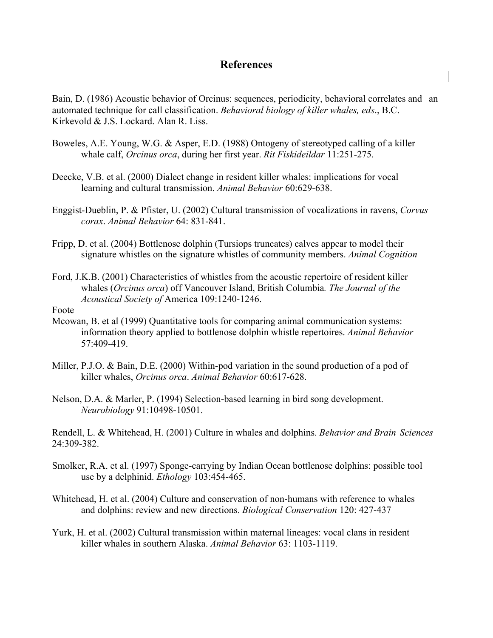## **References**

Bain, D. (1986) Acoustic behavior of Orcinus: sequences, periodicity, behavioral correlates and an automated technique for call classification. *Behavioral biology of killer whales, eds*., B.C. Kirkevold & J.S. Lockard. Alan R. Liss.

- Boweles, A.E. Young, W.G. & Asper, E.D. (1988) Ontogeny of stereotyped calling of a killer whale calf, *Orcinus orca*, during her first year. *Rit Fiskideildar* 11:251-275.
- Deecke, V.B. et al. (2000) Dialect change in resident killer whales: implications for vocal learning and cultural transmission. *Animal Behavior* 60:629-638.
- Enggist-Dueblin, P. & Pfister, U. (2002) Cultural transmission of vocalizations in ravens, *Corvus corax*. *Animal Behavior* 64: 831-841.
- Fripp, D. et al. (2004) Bottlenose dolphin (Tursiops truncates) calves appear to model their signature whistles on the signature whistles of community members. *Animal Cognition*
- Ford, J.K.B. (2001) Characteristics of whistles from the acoustic repertoire of resident killer whales (*Orcinus orca*) off Vancouver Island, British Columbia*. The Journal of the Acoustical Society of* America 109:1240-1246.
- Foote
- Mcowan, B. et al (1999) Quantitative tools for comparing animal communication systems: information theory applied to bottlenose dolphin whistle repertoires. *Animal Behavior* 57:409-419.
- Miller, P.J.O. & Bain, D.E. (2000) Within-pod variation in the sound production of a pod of killer whales, *Orcinus orca*. *Animal Behavior* 60:617-628.
- Nelson, D.A. & Marler, P. (1994) Selection-based learning in bird song development. *Neurobiology* 91:10498-10501.

Rendell, L. & Whitehead, H. (2001) Culture in whales and dolphins. *Behavior and Brain Sciences* 24:309-382.

- Smolker, R.A. et al. (1997) Sponge-carrying by Indian Ocean bottlenose dolphins: possible tool use by a delphinid. *Ethology* 103:454-465.
- Whitehead, H. et al. (2004) Culture and conservation of non-humans with reference to whales and dolphins: review and new directions. *Biological Conservation* 120: 427-437
- Yurk, H. et al. (2002) Cultural transmission within maternal lineages: vocal clans in resident killer whales in southern Alaska. *Animal Behavior* 63: 1103-1119.